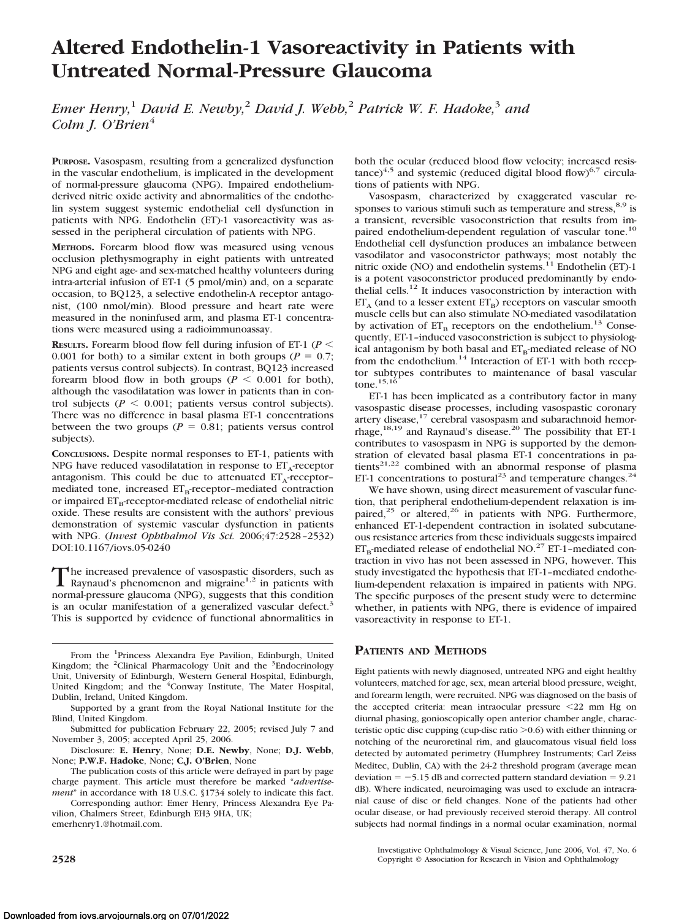# **Altered Endothelin-1 Vasoreactivity in Patients with Untreated Normal-Pressure Glaucoma**

*Emer Henry,*<sup>1</sup> *David E. Newby,*<sup>2</sup> *David J. Webb,*<sup>2</sup> *Patrick W. F. Hadoke,*<sup>3</sup> *and Colm J. O'Brien*<sup>4</sup>

**PURPOSE.** Vasospasm, resulting from a generalized dysfunction in the vascular endothelium, is implicated in the development of normal-pressure glaucoma (NPG). Impaired endotheliumderived nitric oxide activity and abnormalities of the endothelin system suggest systemic endothelial cell dysfunction in patients with NPG. Endothelin (ET)-1 vasoreactivity was assessed in the peripheral circulation of patients with NPG.

**METHODS.** Forearm blood flow was measured using venous occlusion plethysmography in eight patients with untreated NPG and eight age- and sex-matched healthy volunteers during intra-arterial infusion of ET-1 (5 pmol/min) and, on a separate occasion, to BQ123, a selective endothelin-A receptor antagonist, (100 nmol/min). Blood pressure and heart rate were measured in the noninfused arm, and plasma ET-1 concentrations were measured using a radioimmunoassay.

**RESULTS.** Forearm blood flow fell during infusion of ET-1 ( $P$  < 0.001 for both) to a similar extent in both groups ( $P = 0.7$ ; patients versus control subjects). In contrast, BQ123 increased forearm blood flow in both groups ( $P \leq 0.001$  for both), although the vasodilatation was lower in patients than in control subjects ( $P \le 0.001$ ; patients versus control subjects). There was no difference in basal plasma ET-1 concentrations between the two groups ( $P = 0.81$ ; patients versus control subjects).

**CONCLUSIONS.** Despite normal responses to ET-1, patients with NPG have reduced vasodilatation in response to  $ET_A$ -receptor antagonism. This could be due to attenuated  $ET_A$ -receptormediated tone, increased  $ET_B$ -receptor-mediated contraction or impaired  $ET_B$ -receptor-mediated release of endothelial nitric oxide. These results are consistent with the authors' previous demonstration of systemic vascular dysfunction in patients with NPG. (*Invest Ophthalmol Vis Sci.* 2006;47:2528 –2532) DOI:10.1167/iovs.05-0240

The increased prevalence of vasospastic disorders, such as<br>Raynaud's phenomenon and migraine<sup>1,2</sup> in patients with normal-pressure glaucoma (NPG), suggests that this condition is an ocular manifestation of a generalized vascular defect.<sup>3</sup> This is supported by evidence of functional abnormalities in

From the <sup>1</sup>Princess Alexandra Eye Pavilion, Edinburgh, United Kingdom; the <sup>2</sup>Clinical Pharmacology Unit and the <sup>3</sup>Endocrinology Unit, University of Edinburgh, Western General Hospital, Edinburgh, United Kingdom; and the <sup>4</sup>Conway Institute, The Mater Hospital, Dublin, Ireland, United Kingdom.

Disclosure: **E. Henry**, None; **D.E. Newby**, None; **D.J. Webb**, None; **P.W.F. Hadoke**, None; **C.J. O'Brien**, None

The publication costs of this article were defrayed in part by page charge payment. This article must therefore be marked "*advertisement*" in accordance with 18 U.S.C. §1734 solely to indicate this fact.

Corresponding author: Emer Henry, Princess Alexandra Eye Pavilion, Chalmers Street, Edinburgh EH3 9HA, UK; emerhenry1.@hotmail.com.

both the ocular (reduced blood flow velocity; increased resis $tance)^{4,5}$  and systemic (reduced digital blood flow)<sup>6,7</sup> circulations of patients with NPG.

Vasospasm, characterized by exaggerated vascular responses to various stimuli such as temperature and stress,  $8.9$  is a transient, reversible vasoconstriction that results from impaired endothelium-dependent regulation of vascular tone.<sup>10</sup> Endothelial cell dysfunction produces an imbalance between vasodilator and vasoconstrictor pathways; most notably the nitric oxide (NO) and endothelin systems.<sup>11</sup> Endothelin (ET)-1 is a potent vasoconstrictor produced predominantly by endothelial cells.12 It induces vasoconstriction by interaction with  $ET_A$  (and to a lesser extent  $ET_B$ ) receptors on vascular smooth muscle cells but can also stimulate NO-mediated vasodilatation by activation of  $ET_B$  receptors on the endothelium.<sup>13</sup> Consequently, ET-1–induced vasoconstriction is subject to physiological antagonism by both basal and  $ET_{B}$ -mediated release of NO from the endothelium.<sup>14</sup> Interaction of ET-1 with both receptor subtypes contributes to maintenance of basal vascular tone. $15,16$ 

ET-1 has been implicated as a contributory factor in many vasospastic disease processes, including vasospastic coronary artery disease,<sup>17</sup> cerebral vasospasm and subarachnoid hemorrhage,<sup>18,19</sup> and Raynaud's disease.<sup>20</sup> The possibility that ET-1 contributes to vasospasm in NPG is supported by the demonstration of elevated basal plasma ET-1 concentrations in patients<sup>21,22</sup> combined with an abnormal response of plasma ET-1 concentrations to postural<sup>23</sup> and temperature changes.<sup>24</sup>

We have shown, using direct measurement of vascular function, that peripheral endothelium-dependent relaxation is impaired,<sup>25</sup> or altered,<sup>26</sup> in patients with NPG. Furthermore, enhanced ET-1-dependent contraction in isolated subcutaneous resistance arteries from these individuals suggests impaired  $ET_B$ -mediated release of endothelial NO.<sup>27</sup> ET-1–mediated contraction in vivo has not been assessed in NPG, however. This study investigated the hypothesis that ET-1–mediated endothelium-dependent relaxation is impaired in patients with NPG. The specific purposes of the present study were to determine whether, in patients with NPG, there is evidence of impaired vasoreactivity in response to ET-1.

## **PATIENTS AND METHODS**

Eight patients with newly diagnosed, untreated NPG and eight healthy volunteers, matched for age, sex, mean arterial blood pressure, weight, and forearm length, were recruited. NPG was diagnosed on the basis of the accepted criteria: mean intraocular pressure <22 mm Hg on diurnal phasing, gonioscopically open anterior chamber angle, characteristic optic disc cupping (cup-disc ratio  $\geq 0.6$ ) with either thinning or notching of the neuroretinal rim, and glaucomatous visual field loss detected by automated perimetry (Humphrey Instruments; Carl Zeiss Meditec, Dublin, CA) with the 24-2 threshold program (average mean deviation  $= -5.15$  dB and corrected pattern standard deviation  $= 9.21$ dB). Where indicated, neuroimaging was used to exclude an intracranial cause of disc or field changes. None of the patients had other ocular disease, or had previously received steroid therapy. All control subjects had normal findings in a normal ocular examination, normal

Investigative Ophthalmology & Visual Science, June 2006, Vol. 47, No. 6 **2528** Copyright © Association for Research in Vision and Ophthalmology

Supported by a grant from the Royal National Institute for the Blind, United Kingdom.

Submitted for publication February 22, 2005; revised July 7 and November 3, 2005; accepted April 25, 2006.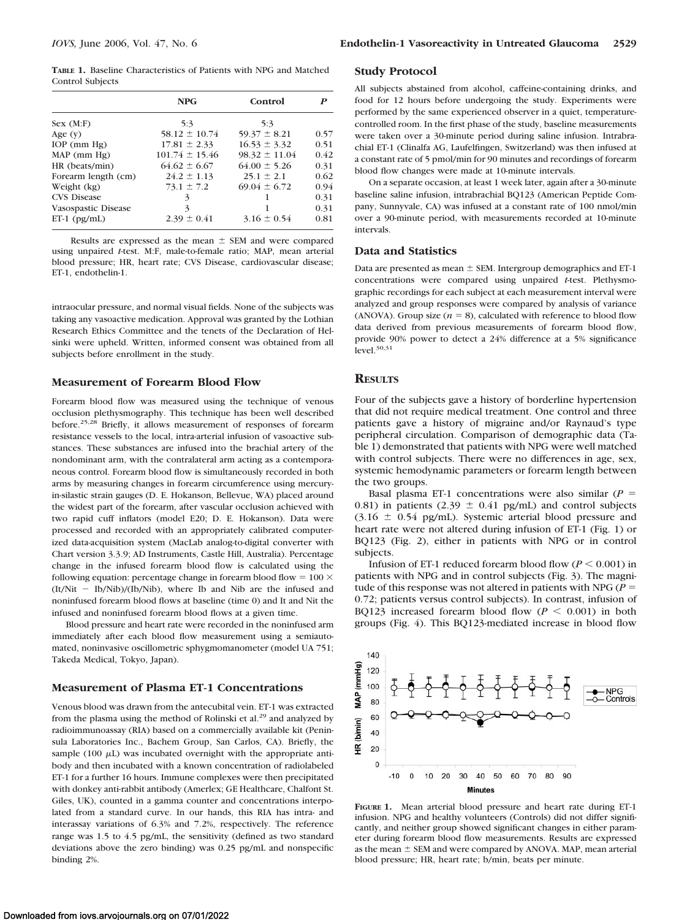**TABLE 1.** Baseline Characteristics of Patients with NPG and Matched Control Subjects

|                     | <b>NPG</b>         | Control           | P    |
|---------------------|--------------------|-------------------|------|
| Sex (M:F)           | 5:3                | 5:3               |      |
| Age $(v)$           | $58.12 \pm 10.74$  | $59.37 \pm 8.21$  | 0.57 |
| $IOP$ (mm $Hg$ )    | $17.81 \pm 2.33$   | $16.53 \pm 3.32$  | 0.51 |
| MAP (mm Hg)         | $101.74 \pm 15.46$ | $98.32 \pm 11.04$ | 0.42 |
| HR (beats/min)      | $64.62 \pm 6.67$   | $64.00 \pm 5.26$  | 0.31 |
| Forearm length (cm) | $24.2 \pm 1.13$    | $25.1 \pm 2.1$    | 0.62 |
| Weight (kg)         | $73.1 \pm 7.2$     | $69.04 \pm 6.72$  | 0.94 |
| <b>CVS Disease</b>  | 3                  |                   | 0.31 |
| Vasospastic Disease | 3                  |                   | 0.31 |
| $ET-1$ ( $pg/mL$ )  | $2.39 \pm 0.41$    | $3.16 \pm 0.54$   | 0.81 |

Results are expressed as the mean  $\pm$  SEM and were compared using unpaired *t*-test. M:F, male-to-female ratio; MAP, mean arterial blood pressure; HR, heart rate; CVS Disease, cardiovascular disease; ET-1, endothelin-1.

intraocular pressure, and normal visual fields. None of the subjects was taking any vasoactive medication. Approval was granted by the Lothian Research Ethics Committee and the tenets of the Declaration of Helsinki were upheld. Written, informed consent was obtained from all subjects before enrollment in the study.

#### **Measurement of Forearm Blood Flow**

Forearm blood flow was measured using the technique of venous occlusion plethysmography. This technique has been well described before.25,28 Briefly, it allows measurement of responses of forearm resistance vessels to the local, intra-arterial infusion of vasoactive substances. These substances are infused into the brachial artery of the nondominant arm, with the contralateral arm acting as a contemporaneous control. Forearm blood flow is simultaneously recorded in both arms by measuring changes in forearm circumference using mercuryin-silastic strain gauges (D. E. Hokanson, Bellevue, WA) placed around the widest part of the forearm, after vascular occlusion achieved with two rapid cuff inflators (model E20; D. E. Hokanson). Data were processed and recorded with an appropriately calibrated computerized data-acquisition system (MacLab analog-to-digital converter with Chart version 3.3.9; AD Instruments, Castle Hill, Australia). Percentage change in the infused forearm blood flow is calculated using the following equation: percentage change in forearm blood flow =  $100 \times$  $(It/Nit - Ib/Nib)/(Ib/Nib)$ , where Ib and Nib are the infused and noninfused forearm blood flows at baseline (time 0) and It and Nit the infused and noninfused forearm blood flows at a given time.

Blood pressure and heart rate were recorded in the noninfused arm immediately after each blood flow measurement using a semiautomated, noninvasive oscillometric sphygmomanometer (model UA 751; Takeda Medical, Tokyo, Japan).

## **Measurement of Plasma ET-1 Concentrations**

Venous blood was drawn from the antecubital vein. ET-1 was extracted from the plasma using the method of Rolinski et al.<sup>29</sup> and analyzed by radioimmunoassay (RIA) based on a commercially available kit (Peninsula Laboratories Inc., Bachem Group, San Carlos, CA). Briefly, the sample (100  $\mu$ L) was incubated overnight with the appropriate antibody and then incubated with a known concentration of radiolabeled ET-1 for a further 16 hours. Immune complexes were then precipitated with donkey anti-rabbit antibody (Amerlex; GE Healthcare, Chalfont St. Giles, UK), counted in a gamma counter and concentrations interpolated from a standard curve. In our hands, this RIA has intra- and interassay variations of 6.3% and 7.2%, respectively. The reference range was 1.5 to 4.5 pg/mL, the sensitivity (defined as two standard deviations above the zero binding) was 0.25 pg/mL and nonspecific binding 2%.

#### **Study Protocol**

All subjects abstained from alcohol, caffeine-containing drinks, and food for 12 hours before undergoing the study. Experiments were performed by the same experienced observer in a quiet, temperaturecontrolled room. In the first phase of the study, baseline measurements were taken over a 30-minute period during saline infusion. Intrabrachial ET-1 (Clinalfa AG, Laufelfingen, Switzerland) was then infused at a constant rate of 5 pmol/min for 90 minutes and recordings of forearm blood flow changes were made at 10-minute intervals.

On a separate occasion, at least 1 week later, again after a 30-minute baseline saline infusion, intrabrachial BQ123 (American Peptide Company, Sunnyvale, CA) was infused at a constant rate of 100 nmol/min over a 90-minute period, with measurements recorded at 10-minute intervals.

#### **Data and Statistics**

Data are presented as mean  $\pm$  SEM. Intergroup demographics and ET-1 concentrations were compared using unpaired *t*-test. Plethysmographic recordings for each subject at each measurement interval were analyzed and group responses were compared by analysis of variance (ANOVA). Group size  $(n = 8)$ , calculated with reference to blood flow data derived from previous measurements of forearm blood flow, provide 90% power to detect a 24% difference at a 5% significance level. $30,31$ 

## **RESULTS**

Four of the subjects gave a history of borderline hypertension that did not require medical treatment. One control and three patients gave a history of migraine and/or Raynaud's type peripheral circulation. Comparison of demographic data (Table 1) demonstrated that patients with NPG were well matched with control subjects. There were no differences in age, sex, systemic hemodynamic parameters or forearm length between the two groups.

Basal plasma ET-1 concentrations were also similar  $(P =$ 0.81) in patients (2.39  $\pm$  0.41 pg/mL) and control subjects  $(3.16 \pm 0.54 \text{ pg/mL})$ . Systemic arterial blood pressure and heart rate were not altered during infusion of ET-1 (Fig. 1) or BQ123 (Fig. 2), either in patients with NPG or in control subjects.

Infusion of ET-1 reduced forearm blood flow  $(P \le 0.001)$  in patients with NPG and in control subjects (Fig. 3). The magnitude of this response was not altered in patients with NPG ( $P =$ 0.72; patients versus control subjects). In contrast, infusion of BQ123 increased forearm blood flow  $(P < 0.001)$  in both groups (Fig. 4). This BQ123-mediated increase in blood flow



**FIGURE 1.** Mean arterial blood pressure and heart rate during ET-1 infusion. NPG and healthy volunteers (Controls) did not differ significantly, and neither group showed significant changes in either parameter during forearm blood flow measurements. Results are expressed as the mean  $\pm$  SEM and were compared by ANOVA. MAP, mean arterial blood pressure; HR, heart rate; b/min, beats per minute.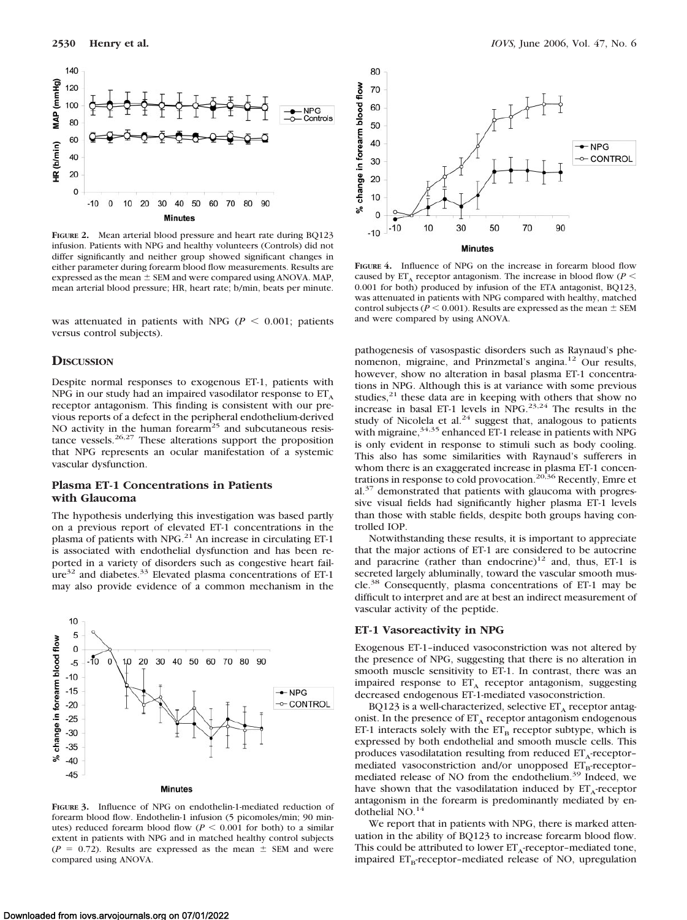

**FIGURE 2.** Mean arterial blood pressure and heart rate during BQ123 infusion. Patients with NPG and healthy volunteers (Controls) did not differ significantly and neither group showed significant changes in either parameter during forearm blood flow measurements. Results are expressed as the mean  $\pm$  SEM and were compared using ANOVA. MAP, mean arterial blood pressure; HR, heart rate; b/min, beats per minute.

was attenuated in patients with NPG ( $P \leq 0.001$ ; patients versus control subjects).

#### **DISCUSSION**

Despite normal responses to exogenous ET-1, patients with NPG in our study had an impaired vasodilator response to  $ET_A$ receptor antagonism. This finding is consistent with our previous reports of a defect in the peripheral endothelium-derived NO activity in the human forearm<sup>25</sup> and subcutaneous resistance vessels.<sup>26,27</sup> These alterations support the proposition that NPG represents an ocular manifestation of a systemic vascular dysfunction.

## **Plasma ET-1 Concentrations in Patients with Glaucoma**

The hypothesis underlying this investigation was based partly on a previous report of elevated ET-1 concentrations in the plasma of patients with NPG.<sup>21</sup> An increase in circulating ET-1 is associated with endothelial dysfunction and has been reported in a variety of disorders such as congestive heart fail $ure<sup>32</sup>$  and diabetes.<sup>33</sup> Elevated plasma concentrations of ET-1 may also provide evidence of a common mechanism in the



**FIGURE 3.** Influence of NPG on endothelin-1-mediated reduction of forearm blood flow. Endothelin-1 infusion (5 picomoles/min; 90 minutes) reduced forearm blood flow ( $P \le 0.001$  for both) to a similar extent in patients with NPG and in matched healthy control subjects  $(P = 0.72)$ . Results are expressed as the mean  $\pm$  SEM and were compared using ANOVA.



**FIGURE 4.** Influence of NPG on the increase in forearm blood flow caused by  $ET_A$  receptor antagonism. The increase in blood flow ( $P \leq$ 0.001 for both) produced by infusion of the ETA antagonist, BQ123, was attenuated in patients with NPG compared with healthy, matched control subjects ( $P \le 0.001$ ). Results are expressed as the mean  $\pm$  SEM and were compared by using ANOVA.

pathogenesis of vasospastic disorders such as Raynaud's phenomenon, migraine, and Prinzmetal's angina.<sup>12</sup> Our results, however, show no alteration in basal plasma ET-1 concentrations in NPG. Although this is at variance with some previous studies,<sup>21</sup> these data are in keeping with others that show no increase in basal ET-1 levels in  $NPG.$ <sup>23,24</sup> The results in the study of Nicolela et al.<sup>24</sup> suggest that, analogous to patients with migraine,  $34,35$  enhanced ET-1 release in patients with NPG is only evident in response to stimuli such as body cooling. This also has some similarities with Raynaud's sufferers in whom there is an exaggerated increase in plasma ET-1 concentrations in response to cold provocation.<sup>20,36</sup> Recently, Emre et al.<sup>37</sup> demonstrated that patients with glaucoma with progressive visual fields had significantly higher plasma ET-1 levels than those with stable fields, despite both groups having controlled IOP.

Notwithstanding these results, it is important to appreciate that the major actions of ET-1 are considered to be autocrine and paracrine (rather than endocrine)<sup>12</sup> and, thus, ET-1 is secreted largely abluminally, toward the vascular smooth muscle.<sup>38</sup> Consequently, plasma concentrations of ET-1 may be difficult to interpret and are at best an indirect measurement of vascular activity of the peptide.

#### **ET-1 Vasoreactivity in NPG**

Exogenous ET-1–induced vasoconstriction was not altered by the presence of NPG, suggesting that there is no alteration in smooth muscle sensitivity to ET-1. In contrast, there was an impaired response to  $ET_A$  receptor antagonism, suggesting decreased endogenous ET-1-mediated vasoconstriction.

BQ123 is a well-characterized, selective  $ET_A$  receptor antagonist. In the presence of  $ET_A$  receptor antagonism endogenous ET-1 interacts solely with the  $ET_B$  receptor subtype, which is expressed by both endothelial and smooth muscle cells. This produces vasodilatation resulting from reduced  $ET_A$ -receptormediated vasoconstriction and/or unopposed  $ET_B$ -receptormediated release of NO from the endothelium.39 Indeed, we have shown that the vasodilatation induced by  $ET_A$ -receptor antagonism in the forearm is predominantly mediated by endothelial NO.<sup>14</sup>

We report that in patients with NPG, there is marked attenuation in the ability of BQ123 to increase forearm blood flow. This could be attributed to lower  $ET_A$ -receptor-mediated tone, impaired  $ET_B$ -receptor-mediated release of NO, upregulation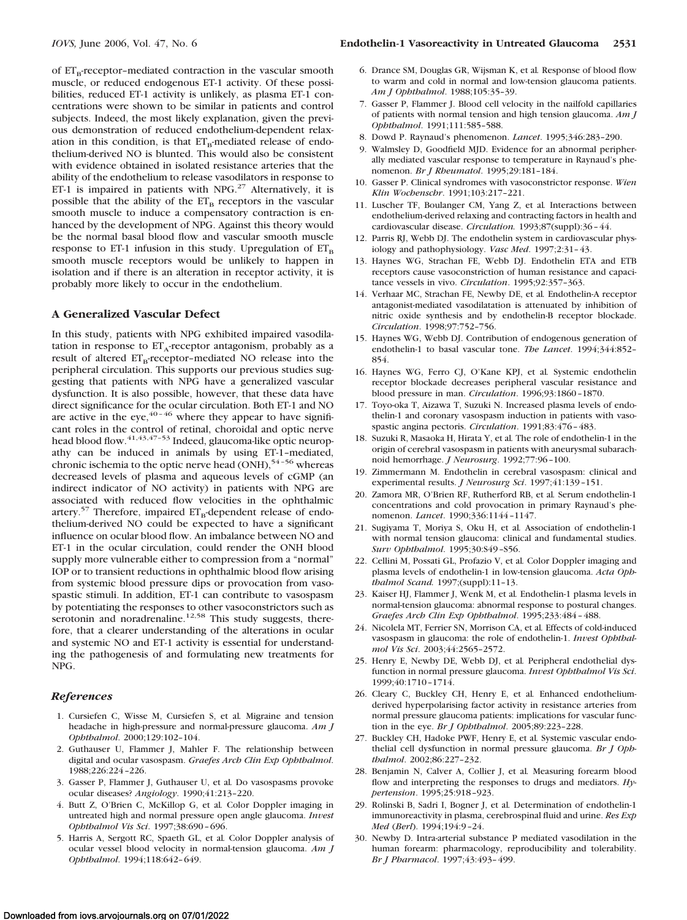of  $ET_B$ -receptor-mediated contraction in the vascular smooth muscle, or reduced endogenous ET-1 activity. Of these possibilities, reduced ET-1 activity is unlikely, as plasma ET-1 concentrations were shown to be similar in patients and control subjects. Indeed, the most likely explanation, given the previous demonstration of reduced endothelium-dependent relaxation in this condition, is that  $ET_B$ -mediated release of endothelium-derived NO is blunted. This would also be consistent with evidence obtained in isolated resistance arteries that the ability of the endothelium to release vasodilators in response to ET-1 is impaired in patients with NPG.<sup>27</sup> Alternatively, it is possible that the ability of the  $ET_B$  receptors in the vascular smooth muscle to induce a compensatory contraction is enhanced by the development of NPG. Against this theory would be the normal basal blood flow and vascular smooth muscle response to ET-1 infusion in this study. Upregulation of  $ET_B$ smooth muscle receptors would be unlikely to happen in isolation and if there is an alteration in receptor activity, it is probably more likely to occur in the endothelium.

## **A Generalized Vascular Defect**

In this study, patients with NPG exhibited impaired vasodilatation in response to  $ET_A$ -receptor antagonism, probably as a result of altered  $ET_B$ -receptor-mediated NO release into the peripheral circulation. This supports our previous studies suggesting that patients with NPG have a generalized vascular dysfunction. It is also possible, however, that these data have direct significance for the ocular circulation. Both ET-1 and NO are active in the eye,  $40 - 46$  where they appear to have significant roles in the control of retinal, choroidal and optic nerve head blood flow.<sup>41,43,47-53</sup> Indeed, glaucoma-like optic neuropathy can be induced in animals by using ET-1–mediated, chronic ischemia to the optic nerve head (ONH),<sup>54-56</sup> whereas decreased levels of plasma and aqueous levels of cGMP (an indirect indicator of NO activity) in patients with NPG are associated with reduced flow velocities in the ophthalmic artery.<sup>57</sup> Therefore, impaired  $ET_B$ -dependent release of endothelium-derived NO could be expected to have a significant influence on ocular blood flow. An imbalance between NO and ET-1 in the ocular circulation, could render the ONH blood supply more vulnerable either to compression from a "normal" IOP or to transient reductions in ophthalmic blood flow arising from systemic blood pressure dips or provocation from vasospastic stimuli. In addition, ET-1 can contribute to vasospasm by potentiating the responses to other vasoconstrictors such as serotonin and noradrenaline.<sup>12,58</sup> This study suggests, therefore, that a clearer understanding of the alterations in ocular and systemic NO and ET-1 activity is essential for understanding the pathogenesis of and formulating new treatments for NPG.

## *References*

- 1. Cursiefen C, Wisse M, Cursiefen S, et al*.* Migraine and tension headache in high-pressure and normal-pressure glaucoma. *Am J Ophthalmol*. 2000;129:102–104.
- 2. Guthauser U, Flammer J, Mahler F. The relationship between digital and ocular vasospasm. *Graefes Arch Clin Exp Ophthalmol*. 1988;226:224 –226.
- 3. Gasser P, Flammer J, Guthauser U, et al*.* Do vasospasms provoke ocular diseases? *Angiology*. 1990;41:213–220.
- 4. Butt Z, O'Brien C, McKillop G, et al*.* Color Doppler imaging in untreated high and normal pressure open angle glaucoma. *Invest Ophthalmol Vis Sci*. 1997;38:690 – 696.
- 5. Harris A, Sergott RC, Spaeth GL, et al*.* Color Doppler analysis of ocular vessel blood velocity in normal-tension glaucoma. *Am J Ophthalmol*. 1994;118:642– 649.
- 6. Drance SM, Douglas GR, Wijsman K, et al*.* Response of blood flow to warm and cold in normal and low-tension glaucoma patients. *Am J Ophthalmol*. 1988;105:35–39.
- 7. Gasser P, Flammer J. Blood cell velocity in the nailfold capillaries of patients with normal tension and high tension glaucoma. *Am J Ophthalmol*. 1991;111:585–588.
- 8. Dowd P. Raynaud's phenomenon. *Lancet*. 1995;346:283–290.
- 9. Walmsley D, Goodfield MJD. Evidence for an abnormal peripherally mediated vascular response to temperature in Raynaud's phenomenon. *Br J Rheumatol*. 1995;29:181–184.
- 10. Gasser P. Clinical syndromes with vasoconstrictor response. *Wien Klin Wochenschr*. 1991;103:217–221.
- 11. Luscher TF, Boulanger CM, Yang Z, et al*.* Interactions between endothelium-derived relaxing and contracting factors in health and cardiovascular disease. *Circulation.* 1993;87(suppl):36 – 44.
- 12. Parris RJ, Webb DJ. The endothelin system in cardiovascular physiology and pathophysiology. *Vasc Med*. 1997;2:31– 43.
- 13. Haynes WG, Strachan FE, Webb DJ. Endothelin ETA and ETB receptors cause vasoconstriction of human resistance and capacitance vessels in vivo. *Circulation*. 1995;92:357–363.
- 14. Verhaar MC, Strachan FE, Newby DE, et al*.* Endothelin-A receptor antagonist-mediated vasodilatation is attenuated by inhibition of nitric oxide synthesis and by endothelin-B receptor blockade. *Circulation*. 1998;97:752–756.
- 15. Haynes WG, Webb DJ. Contribution of endogenous generation of endothelin-1 to basal vascular tone. *The Lancet*. 1994;344:852– 854.
- 16. Haynes WG, Ferro CJ, O'Kane KPJ, et al*.* Systemic endothelin receptor blockade decreases peripheral vascular resistance and blood pressure in man. *Circulation*. 1996;93:1860 –1870.
- 17. Toyo-oka T, Aizawa T, Suzuki N. Increased plasma levels of endothelin-1 and coronary vasospasm induction in patients with vasospastic angina pectoris. *Circulation*. 1991;83:476 – 483.
- 18. Suzuki R, Masaoka H, Hirata Y, et al*.* The role of endothelin-1 in the origin of cerebral vasospasm in patients with aneurysmal subarachnoid hemorrhage. *J Neurosurg*. 1992;77:96 –100.
- 19. Zimmermann M. Endothelin in cerebral vasospasm: clinical and experimental results. *J Neurosurg Sci*. 1997;41:139 –151.
- 20. Zamora MR, O'Brien RF, Rutherford RB, et al*.* Serum endothelin-1 concentrations and cold provocation in primary Raynaud's phenomenon. *Lancet*. 1990;336:1144 –1147.
- 21. Sugiyama T, Moriya S, Oku H, et al*.* Association of endothelin-1 with normal tension glaucoma: clinical and fundamental studies. *Surv Ophthalmol*. 1995;30:S49 –S56.
- 22. Cellini M, Possati GL, Profazio V, et al*.* Color Doppler imaging and plasma levels of endothelin-1 in low-tension glaucoma. *Acta Ophthalmol Scand.* 1997;(suppl):11–13.
- 23. Kaiser HJ, Flammer J, Wenk M, et al*.* Endothelin-1 plasma levels in normal-tension glaucoma: abnormal response to postural changes. *Graefes Arch Clin Exp Ophthalmol*. 1995;233:484 – 488.
- 24. Nicolela MT, Ferrier SN, Morrison CA, et al*.* Effects of cold-induced vasospasm in glaucoma: the role of endothelin-1. *Invest Ophthalmol Vis Sci*. 2003;44:2565–2572.
- 25. Henry E, Newby DE, Webb DJ, et al*.* Peripheral endothelial dysfunction in normal pressure glaucoma. *Invest Ophthalmol Vis Sci*. 1999;40:1710 –1714.
- 26. Cleary C, Buckley CH, Henry E, et al*.* Enhanced endotheliumderived hyperpolarising factor activity in resistance arteries from normal pressure glaucoma patients: implications for vascular function in the eye. *Br J Ophthalmol*. 2005;89:223–228.
- 27. Buckley CH, Hadoke PWF, Henry E, et al*.* Systemic vascular endothelial cell dysfunction in normal pressure glaucoma. *Br J Ophthalmol*. 2002;86:227–232.
- 28. Benjamin N, Calver A, Collier J, et al*.* Measuring forearm blood flow and interpreting the responses to drugs and mediators. *Hypertension*. 1995;25:918 –923.
- 29. Rolinski B, Sadri I, Bogner J, et al*.* Determination of endothelin-1 immunoreactivity in plasma, cerebrospinal fluid and urine. *Res Exp Med* (*Berl*). 1994;194:9 –24.
- 30. Newby D. Intra-arterial substance P mediated vasodilation in the human forearm: pharmacology, reproducibility and tolerability. *Br J Pharmacol*. 1997;43:493– 499.